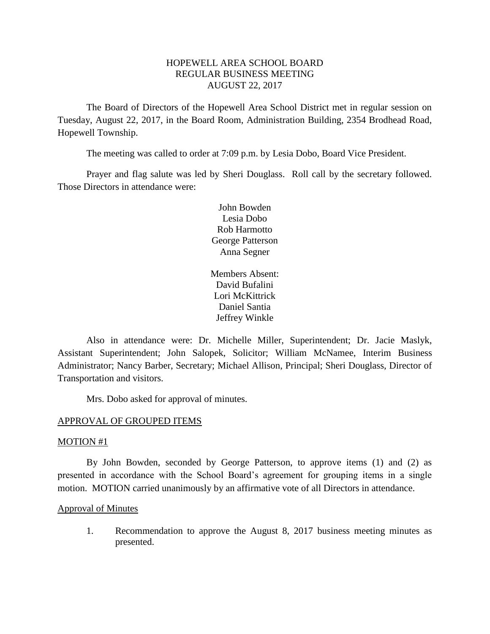# HOPEWELL AREA SCHOOL BOARD REGULAR BUSINESS MEETING AUGUST 22, 2017

The Board of Directors of the Hopewell Area School District met in regular session on Tuesday, August 22, 2017, in the Board Room, Administration Building, 2354 Brodhead Road, Hopewell Township.

The meeting was called to order at 7:09 p.m. by Lesia Dobo, Board Vice President.

Prayer and flag salute was led by Sheri Douglass. Roll call by the secretary followed. Those Directors in attendance were:

> John Bowden Lesia Dobo Rob Harmotto George Patterson Anna Segner

Members Absent: David Bufalini Lori McKittrick Daniel Santia Jeffrey Winkle

Also in attendance were: Dr. Michelle Miller, Superintendent; Dr. Jacie Maslyk, Assistant Superintendent; John Salopek, Solicitor; William McNamee, Interim Business Administrator; Nancy Barber, Secretary; Michael Allison, Principal; Sheri Douglass, Director of Transportation and visitors.

Mrs. Dobo asked for approval of minutes.

### APPROVAL OF GROUPED ITEMS

### MOTION #1

By John Bowden, seconded by George Patterson, to approve items (1) and (2) as presented in accordance with the School Board's agreement for grouping items in a single motion. MOTION carried unanimously by an affirmative vote of all Directors in attendance.

### Approval of Minutes

1. Recommendation to approve the August 8, 2017 business meeting minutes as presented.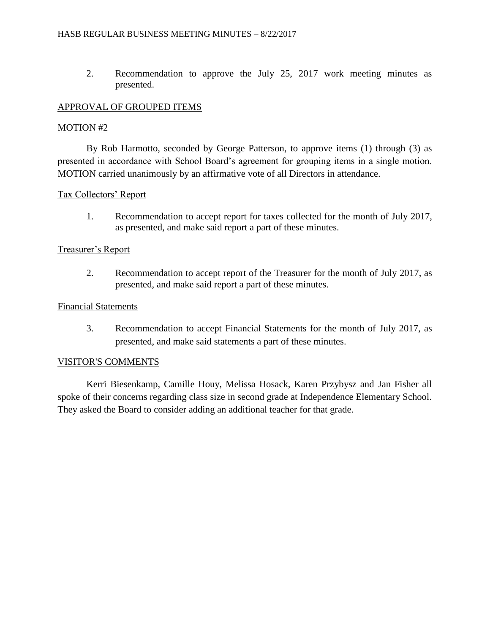2. Recommendation to approve the July 25, 2017 work meeting minutes as presented.

# APPROVAL OF GROUPED ITEMS

## MOTION #2

By Rob Harmotto, seconded by George Patterson, to approve items (1) through (3) as presented in accordance with School Board's agreement for grouping items in a single motion. MOTION carried unanimously by an affirmative vote of all Directors in attendance.

# Tax Collectors' Report

1. Recommendation to accept report for taxes collected for the month of July 2017, as presented, and make said report a part of these minutes.

# Treasurer's Report

2. Recommendation to accept report of the Treasurer for the month of July 2017, as presented, and make said report a part of these minutes.

## Financial Statements

3. Recommendation to accept Financial Statements for the month of July 2017, as presented, and make said statements a part of these minutes.

## VISITOR'S COMMENTS

Kerri Biesenkamp, Camille Houy, Melissa Hosack, Karen Przybysz and Jan Fisher all spoke of their concerns regarding class size in second grade at Independence Elementary School. They asked the Board to consider adding an additional teacher for that grade.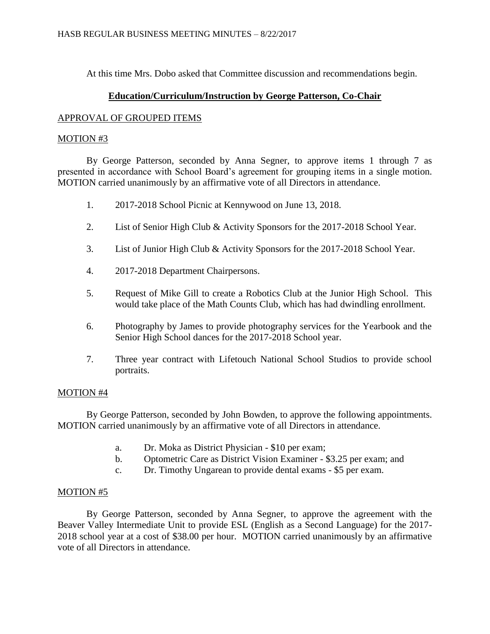At this time Mrs. Dobo asked that Committee discussion and recommendations begin.

# **Education/Curriculum/Instruction by George Patterson, Co-Chair**

## APPROVAL OF GROUPED ITEMS

# MOTION #3

By George Patterson, seconded by Anna Segner, to approve items 1 through 7 as presented in accordance with School Board's agreement for grouping items in a single motion. MOTION carried unanimously by an affirmative vote of all Directors in attendance.

- 1. 2017-2018 School Picnic at Kennywood on June 13, 2018.
- 2. List of Senior High Club & Activity Sponsors for the 2017-2018 School Year.
- 3. List of Junior High Club & Activity Sponsors for the 2017-2018 School Year.
- 4. 2017-2018 Department Chairpersons.
- 5. Request of Mike Gill to create a Robotics Club at the Junior High School. This would take place of the Math Counts Club, which has had dwindling enrollment.
- 6. Photography by James to provide photography services for the Yearbook and the Senior High School dances for the 2017-2018 School year.
- 7. Three year contract with Lifetouch National School Studios to provide school portraits.

# MOTION #4

By George Patterson, seconded by John Bowden, to approve the following appointments. MOTION carried unanimously by an affirmative vote of all Directors in attendance.

- a. Dr. Moka as District Physician \$10 per exam;
- b. Optometric Care as District Vision Examiner \$3.25 per exam; and
- c. Dr. Timothy Ungarean to provide dental exams \$5 per exam.

## MOTION #5

By George Patterson, seconded by Anna Segner, to approve the agreement with the Beaver Valley Intermediate Unit to provide ESL (English as a Second Language) for the 2017- 2018 school year at a cost of \$38.00 per hour. MOTION carried unanimously by an affirmative vote of all Directors in attendance.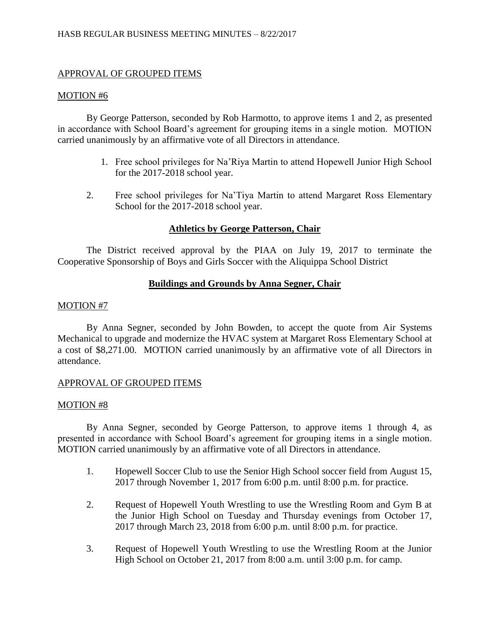# APPROVAL OF GROUPED ITEMS

### MOTION #6

By George Patterson, seconded by Rob Harmotto, to approve items 1 and 2, as presented in accordance with School Board's agreement for grouping items in a single motion. MOTION carried unanimously by an affirmative vote of all Directors in attendance.

- 1. Free school privileges for Na'Riya Martin to attend Hopewell Junior High School for the 2017-2018 school year.
- 2. Free school privileges for Na'Tiya Martin to attend Margaret Ross Elementary School for the 2017-2018 school year.

# **Athletics by George Patterson, Chair**

The District received approval by the PIAA on July 19, 2017 to terminate the Cooperative Sponsorship of Boys and Girls Soccer with the Aliquippa School District

## **Buildings and Grounds by Anna Segner, Chair**

## MOTION #7

By Anna Segner, seconded by John Bowden, to accept the quote from Air Systems Mechanical to upgrade and modernize the HVAC system at Margaret Ross Elementary School at a cost of \$8,271.00. MOTION carried unanimously by an affirmative vote of all Directors in attendance.

## APPROVAL OF GROUPED ITEMS

## MOTION #8

By Anna Segner, seconded by George Patterson, to approve items 1 through 4, as presented in accordance with School Board's agreement for grouping items in a single motion. MOTION carried unanimously by an affirmative vote of all Directors in attendance.

- 1. Hopewell Soccer Club to use the Senior High School soccer field from August 15, 2017 through November 1, 2017 from 6:00 p.m. until 8:00 p.m. for practice.
- 2. Request of Hopewell Youth Wrestling to use the Wrestling Room and Gym B at the Junior High School on Tuesday and Thursday evenings from October 17, 2017 through March 23, 2018 from 6:00 p.m. until 8:00 p.m. for practice.
- 3. Request of Hopewell Youth Wrestling to use the Wrestling Room at the Junior High School on October 21, 2017 from 8:00 a.m. until 3:00 p.m. for camp.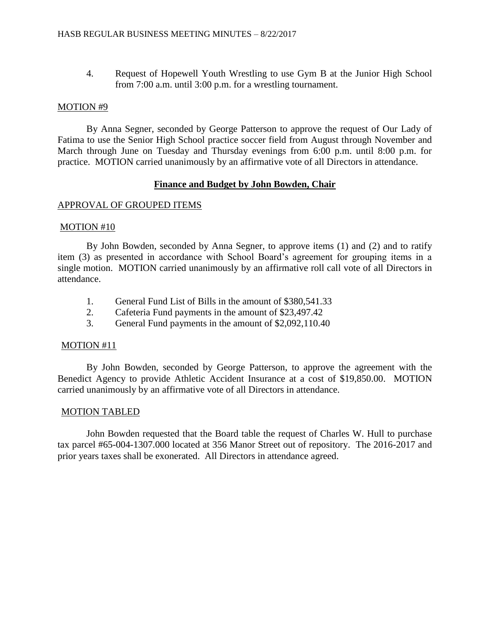4. Request of Hopewell Youth Wrestling to use Gym B at the Junior High School from 7:00 a.m. until 3:00 p.m. for a wrestling tournament.

#### MOTION #9

By Anna Segner, seconded by George Patterson to approve the request of Our Lady of Fatima to use the Senior High School practice soccer field from August through November and March through June on Tuesday and Thursday evenings from 6:00 p.m. until 8:00 p.m. for practice. MOTION carried unanimously by an affirmative vote of all Directors in attendance.

### **Finance and Budget by John Bowden, Chair**

### APPROVAL OF GROUPED ITEMS

### MOTION #10

By John Bowden, seconded by Anna Segner, to approve items (1) and (2) and to ratify item (3) as presented in accordance with School Board's agreement for grouping items in a single motion. MOTION carried unanimously by an affirmative roll call vote of all Directors in attendance.

- 1. General Fund List of Bills in the amount of \$380,541.33
- 2. Cafeteria Fund payments in the amount of \$23,497.42
- 3. General Fund payments in the amount of \$2,092,110.40

#### MOTION #11

By John Bowden, seconded by George Patterson, to approve the agreement with the Benedict Agency to provide Athletic Accident Insurance at a cost of \$19,850.00. MOTION carried unanimously by an affirmative vote of all Directors in attendance.

### MOTION TABLED

John Bowden requested that the Board table the request of Charles W. Hull to purchase tax parcel #65-004-1307.000 located at 356 Manor Street out of repository. The 2016-2017 and prior years taxes shall be exonerated. All Directors in attendance agreed.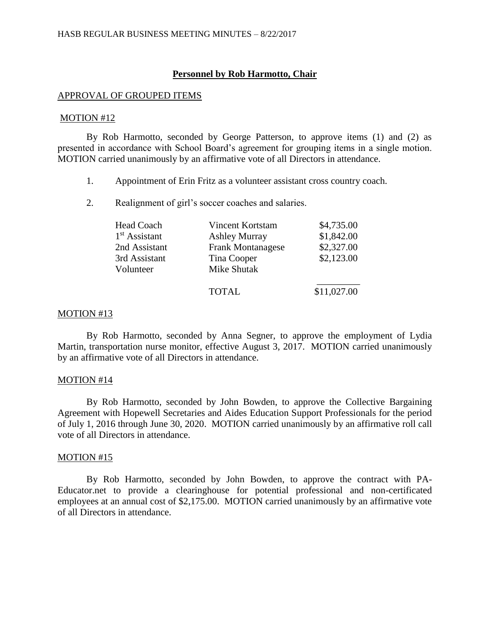### **Personnel by Rob Harmotto, Chair**

#### APPROVAL OF GROUPED ITEMS

#### MOTION #12

By Rob Harmotto, seconded by George Patterson, to approve items (1) and (2) as presented in accordance with School Board's agreement for grouping items in a single motion. MOTION carried unanimously by an affirmative vote of all Directors in attendance.

- 1. Appointment of Erin Fritz as a volunteer assistant cross country coach.
- 2. Realignment of girl's soccer coaches and salaries.

| Head Coach                | Vincent Kortstam         | \$4,735.00  |
|---------------------------|--------------------------|-------------|
| 1 <sup>st</sup> Assistant | <b>Ashley Murray</b>     | \$1,842.00  |
| 2nd Assistant             | <b>Frank Montanagese</b> | \$2,327.00  |
| 3rd Assistant             | Tina Cooper              | \$2,123.00  |
| Volunteer                 | Mike Shutak              |             |
|                           | <b>TOTAL</b>             | \$11,027.00 |

#### MOTION #13

By Rob Harmotto, seconded by Anna Segner, to approve the employment of Lydia Martin, transportation nurse monitor, effective August 3, 2017. MOTION carried unanimously by an affirmative vote of all Directors in attendance.

### MOTION #14

By Rob Harmotto, seconded by John Bowden, to approve the Collective Bargaining Agreement with Hopewell Secretaries and Aides Education Support Professionals for the period of July 1, 2016 through June 30, 2020. MOTION carried unanimously by an affirmative roll call vote of all Directors in attendance.

### MOTION #15

By Rob Harmotto, seconded by John Bowden, to approve the contract with PA-Educator.net to provide a clearinghouse for potential professional and non-certificated employees at an annual cost of \$2,175.00. MOTION carried unanimously by an affirmative vote of all Directors in attendance.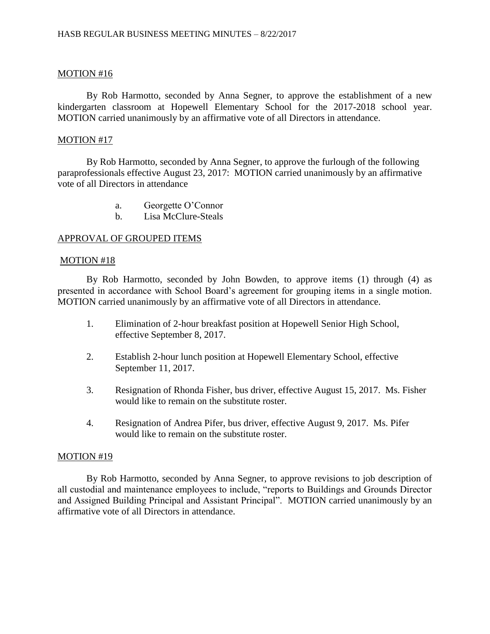## MOTION #16

By Rob Harmotto, seconded by Anna Segner, to approve the establishment of a new kindergarten classroom at Hopewell Elementary School for the 2017-2018 school year. MOTION carried unanimously by an affirmative vote of all Directors in attendance.

## MOTION #17

By Rob Harmotto, seconded by Anna Segner, to approve the furlough of the following paraprofessionals effective August 23, 2017: MOTION carried unanimously by an affirmative vote of all Directors in attendance

- a. Georgette O'Connor
- b. Lisa McClure-Steals

### APPROVAL OF GROUPED ITEMS

### MOTION #18

By Rob Harmotto, seconded by John Bowden, to approve items (1) through (4) as presented in accordance with School Board's agreement for grouping items in a single motion. MOTION carried unanimously by an affirmative vote of all Directors in attendance.

- 1. Elimination of 2-hour breakfast position at Hopewell Senior High School, effective September 8, 2017.
- 2. Establish 2-hour lunch position at Hopewell Elementary School, effective September 11, 2017.
- 3. Resignation of Rhonda Fisher, bus driver, effective August 15, 2017. Ms. Fisher would like to remain on the substitute roster.
- 4. Resignation of Andrea Pifer, bus driver, effective August 9, 2017. Ms. Pifer would like to remain on the substitute roster.

## MOTION #19

By Rob Harmotto, seconded by Anna Segner, to approve revisions to job description of all custodial and maintenance employees to include, "reports to Buildings and Grounds Director and Assigned Building Principal and Assistant Principal". MOTION carried unanimously by an affirmative vote of all Directors in attendance.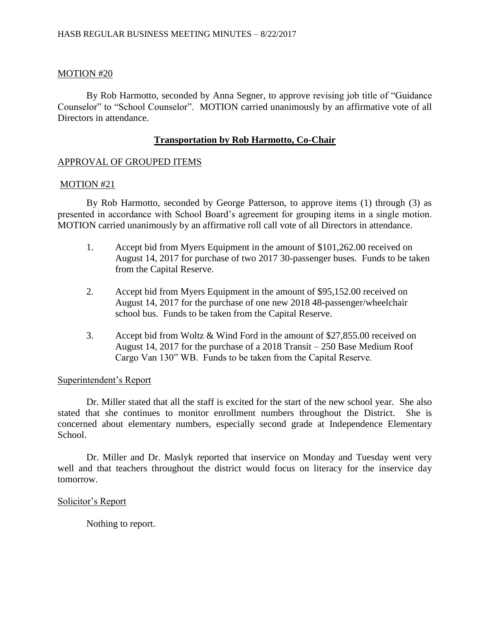### MOTION #20

By Rob Harmotto, seconded by Anna Segner, to approve revising job title of "Guidance Counselor" to "School Counselor". MOTION carried unanimously by an affirmative vote of all Directors in attendance.

### **Transportation by Rob Harmotto, Co-Chair**

### APPROVAL OF GROUPED ITEMS

### MOTION #21

By Rob Harmotto, seconded by George Patterson, to approve items (1) through (3) as presented in accordance with School Board's agreement for grouping items in a single motion. MOTION carried unanimously by an affirmative roll call vote of all Directors in attendance.

- 1. Accept bid from Myers Equipment in the amount of \$101,262.00 received on August 14, 2017 for purchase of two 2017 30-passenger buses. Funds to be taken from the Capital Reserve.
- 2. Accept bid from Myers Equipment in the amount of \$95,152.00 received on August 14, 2017 for the purchase of one new 2018 48-passenger/wheelchair school bus. Funds to be taken from the Capital Reserve.
- 3. Accept bid from Woltz & Wind Ford in the amount of \$27,855.00 received on August 14, 2017 for the purchase of a 2018 Transit – 250 Base Medium Roof Cargo Van 130" WB. Funds to be taken from the Capital Reserve.

### Superintendent's Report

Dr. Miller stated that all the staff is excited for the start of the new school year. She also stated that she continues to monitor enrollment numbers throughout the District. She is concerned about elementary numbers, especially second grade at Independence Elementary School.

Dr. Miller and Dr. Maslyk reported that inservice on Monday and Tuesday went very well and that teachers throughout the district would focus on literacy for the inservice day tomorrow.

### Solicitor's Report

Nothing to report.